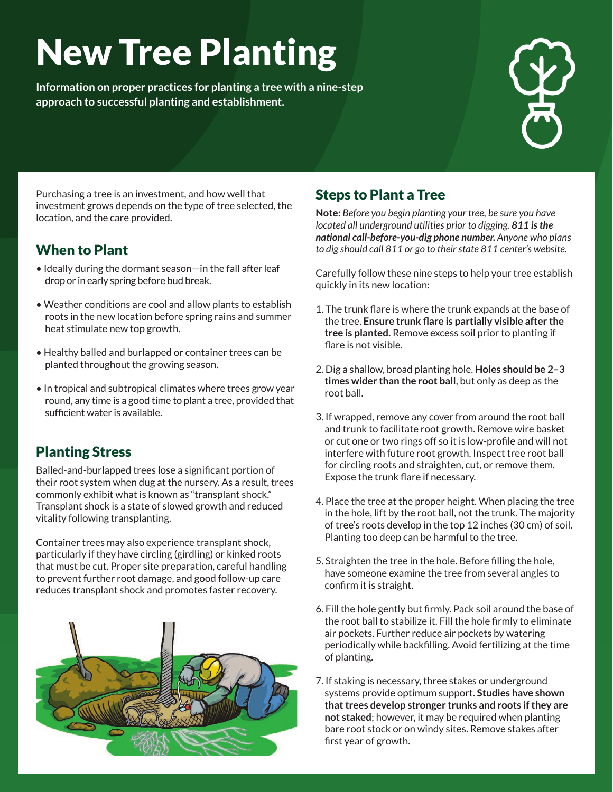# New Tree Planting

**Information on proper practices for planting a tree with a nine-step approach to successful planting and establishment.**



Purchasing a tree is an investment, and how well that investment grows depends on the type of tree selected, the location, and the care provided.

## When to Plant

- Ideally during the dormant season—in the fall after leaf drop or in early spring before bud break.
- Weather conditions are cool and allow plants to establish roots in the new location before spring rains and summer heat stimulate new top growth.
- Healthy balled and burlapped or container trees can be planted throughout the growing season.
- In tropical and subtropical climates where trees grow year round, any time is a good time to plant a tree, provided that sufficient water is available.

## Planting Stress

Balled-and-burlapped trees lose a significant portion of their root system when dug at the nursery. As a result, trees commonly exhibit what is known as "transplant shock." Transplant shock is a state of slowed growth and reduced vitality following transplanting.

Container trees may also experience transplant shock, particularly if they have circling (girdling) or kinked roots that must be cut. Proper site preparation, careful handling to prevent further root damage, and good follow-up care reduces transplant shock and promotes faster recovery.



## Steps to Plant a Tree

**Note:** *Before you begin planting your tree, be sure you have located all underground utilities prior to digging. 811 is the national call-before-you-dig phone number. Anyone who plans to dig should call 811 or go to their state 811 center's website.*

Carefully follow these nine steps to help your tree establish quickly in its new location:

- 1. The trunk flare is where the trunk expands at the base of the tree. **Ensure trunk flare is partially visible after the tree is planted.** Remove excess soil prior to planting if flare is not visible.
- 2. Dig a shallow, broad planting hole. **Holes should be 2–3 times wider than the root ball**, but only as deep as the root ball.
- 3. If wrapped, remove any cover from around the root ball and trunk to facilitate root growth. Remove wire basket or cut one or two rings off so it is low-profile and will not interfere with future root growth. Inspect tree root ball for circling roots and straighten, cut, or remove them. Expose the trunk flare if necessary.
- 4. Place the tree at the proper height. When placing the tree in the hole, lift by the root ball, not the trunk. The majority of tree's roots develop in the top 12 inches (30 cm) of soil. Planting too deep can be harmful to the tree.
- 5. Straighten the tree in the hole. Before filling the hole, have someone examine the tree from several angles to confirm it is straight.
- 6. Fill the hole gently but firmly. Pack soil around the base of the root ball to stabilize it. Fill the hole firmly to eliminate air pockets. Further reduce air pockets by watering periodically while backfilling. Avoid fertilizing at the time of planting.
- 7. If staking is necessary, three stakes or underground systems provide optimum support. **Studies have shown that trees develop stronger trunks and roots if they are not staked**; however, it may be required when planting bare root stock or on windy sites. Remove stakes after first year of growth.